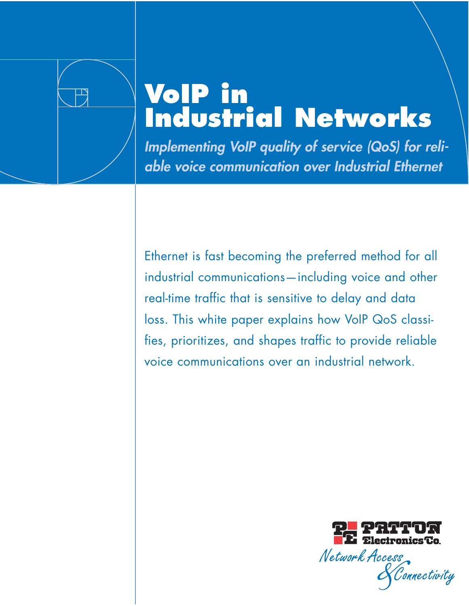

# **VoIP in Industrial Networks**

**Implementing VoIP quality of service (QoS) for reliable voice communication over Industrial Ethernet**

Ethernet is fast becoming the preferred method for all industrial communications—including voice and other real-time traffic that is sensitive to delay and data loss. This white paper explains how VoIP QoS classifies, prioritizes, and shapes traffic to provide reliable voice communications over an industrial network.

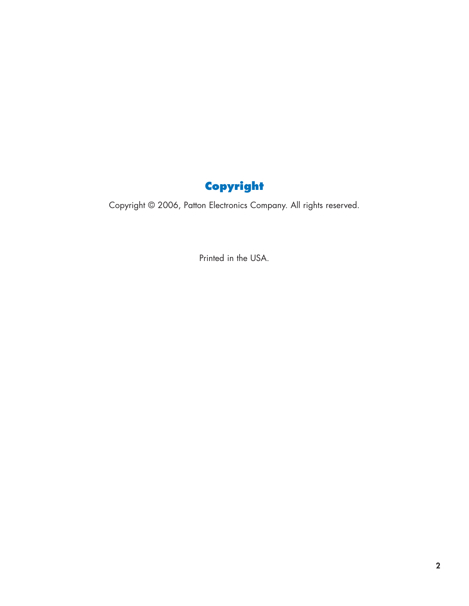### **Copyright**

Copyright © 2006, Patton Electronics Company. All rights reserved.

Printed in the USA.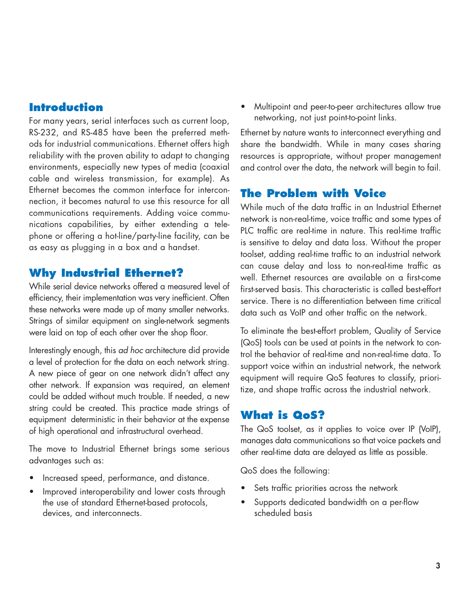#### **Introduction**

For many years, serial interfaces such as current loop, RS-232, and RS-485 have been the preferred methods for industrial communications. Ethernet offers high reliability with the proven ability to adapt to changing environments, especially new types of media (coaxial cable and wireless transmission, for example). As Ethernet becomes the common interface for interconnection, it becomes natural to use this resource for all communications requirements. Adding voice communications capabilities, by either extending a telephone or offering a hot-line/party-line facility, can be as easy as plugging in a box and a handset.

#### **Why Industrial Ethernet?**

While serial device networks offered a measured level of efficiency, their implementation was very inefficient. Often these networks were made up of many smaller networks. Strings of similar equipment on single-network segments were laid on top of each other over the shop floor.

Interestingly enough, this ad hoc architecture did provide a level of protection for the data on each network string. A new piece of gear on one network didn't affect any other network. If expansion was required, an element could be added without much trouble. If needed, a new string could be created. This practice made strings of equipment deterministic in their behavior at the expense of high operational and infrastructural overhead.

The move to Industrial Ethernet brings some serious advantages such as:

- Increased speed, performance, and distance.
- Improved interoperability and lower costs through the use of standard Ethernet-based protocols, devices, and interconnects.

• Multipoint and peer-to-peer architectures allow true networking, not just point-to-point links.

Ethernet by nature wants to interconnect everything and share the bandwidth. While in many cases sharing resources is appropriate, without proper management and control over the data, the network will begin to fail.

#### **The Problem with Voice**

While much of the data traffic in an Industrial Ethernet network is non-real-time, voice traffic and some types of PLC traffic are real-time in nature. This real-time traffic is sensitive to delay and data loss. Without the proper toolset, adding real-time traffic to an industrial network can cause delay and loss to non-real-time traffic as well. Ethernet resources are available on a first-come first-served basis. This characteristic is called best-effort service. There is no differentiation between time critical data such as VoIP and other traffic on the network.

To eliminate the best-effort problem, Quality of Service (QoS) tools can be used at points in the network to control the behavior of real-time and non-real-time data. To support voice within an industrial network, the network equipment will require QoS features to classify, prioritize, and shape traffic across the industrial network.

#### **What is QoS?**

The QoS toolset, as it applies to voice over IP (VoIP), manages data communications so that voice packets and other real-time data are delayed as little as possible.

QoS does the following:

- Sets traffic priorities across the network
- Supports dedicated bandwidth on a per-flow scheduled basis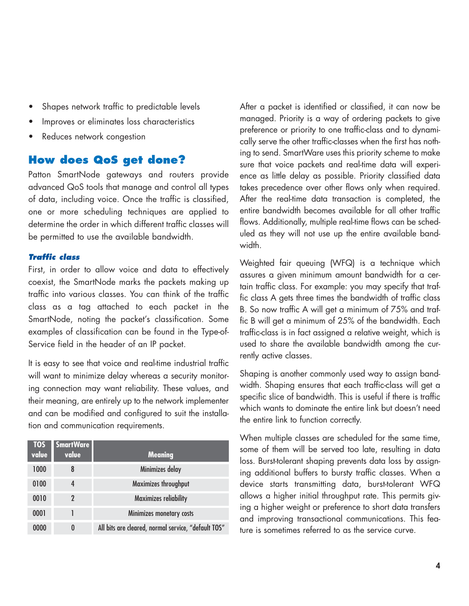- Shapes network traffic to predictable levels
- Improves or eliminates loss characteristics
- Reduces network congestion

#### **How does QoS get done?**

Patton SmartNode gateways and routers provide advanced QoS tools that manage and control all types of data, including voice. Once the traffic is classified, one or more scheduling techniques are applied to determine the order in which different traffic classes will be permitted to use the available bandwidth.

#### **Traffic class**

First, in order to allow voice and data to effectively coexist, the SmartNode marks the packets making up traffic into various classes. You can think of the traffic class as a tag attached to each packet in the SmartNode, noting the packet's classification. Some examples of classification can be found in the Type-of-Service field in the header of an IP packet.

It is easy to see that voice and real-time industrial traffic will want to minimize delay whereas a security monitoring connection may want reliability. These values, and their meaning, are entirely up to the network implementer and can be modified and configured to suit the installation and communication requirements.

| <b>TOS</b><br>value | <b>SmartWare</b><br>value | <b>Meaning</b>                                      |
|---------------------|---------------------------|-----------------------------------------------------|
| 1000                | 8                         | Minimizes delay                                     |
| 0100                | 4                         | Maximizes throughput                                |
| 0010                |                           | <b>Maximizes reliability</b>                        |
| 0001                |                           | Minimizes monetary costs                            |
| 0000                | 0                         | All bits are cleared, normal service, "default TOS" |

After a packet is identified or classified, it can now be managed. Priority is a way of ordering packets to give preference or priority to one traffic-class and to dynamically serve the other traffic-classes when the first has nothing to send. SmartWare uses this priority scheme to make sure that voice packets and real-time data will experience as little delay as possible. Priority classified data takes precedence over other flows only when required. After the real-time data transaction is completed, the entire bandwidth becomes available for all other traffic flows. Additionally, multiple real-time flows can be scheduled as they will not use up the entire available bandwidth.

Weighted fair queuing (WFQ) is a technique which assures a given minimum amount bandwidth for a certain traffic class. For example: you may specify that traffic class A gets three times the bandwidth of traffic class B. So now traffic A will get a minimum of 75% and traffic B will get a minimum of 25% of the bandwidth. Each traffic-class is in fact assigned a relative weight, which is used to share the available bandwidth among the currently active classes.

Shaping is another commonly used way to assign bandwidth. Shaping ensures that each traffic-class will get a specific slice of bandwidth. This is useful if there is traffic which wants to dominate the entire link but doesn't need the entire link to function correctly.

When multiple classes are scheduled for the same time, some of them will be served too late, resulting in data loss. Burst-tolerant shaping prevents data loss by assigning additional buffers to bursty traffic classes. When a device starts transmitting data, burst-tolerant WFQ allows a higher initial throughput rate. This permits giving a higher weight or preference to short data transfers and improving transactional communications. This feature is sometimes referred to as the service curve.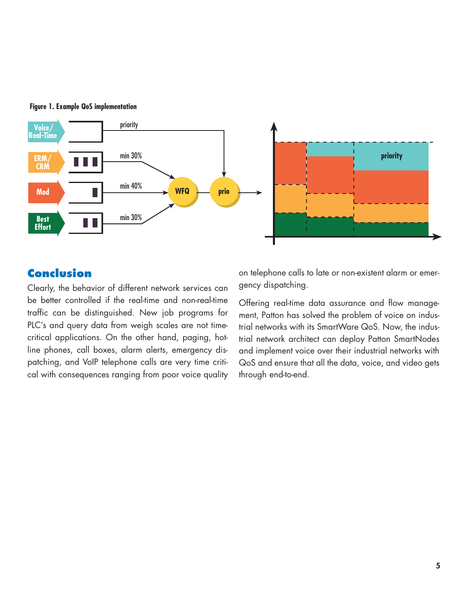



#### **Conclusion**

Clearly, the behavior of different network services can be better controlled if the real-time and non-real-time traffic can be distinguished. New job programs for PLC's and query data from weigh scales are not timecritical applications. On the other hand, paging, hotline phones, call boxes, alarm alerts, emergency dispatching, and VoIP telephone calls are very time critical with consequences ranging from poor voice quality

on telephone calls to late or non-existent alarm or emergency dispatching.

Offering real-time data assurance and flow management, Patton has solved the problem of voice on industrial networks with its SmartWare QoS. Now, the industrial network architect can deploy Patton SmartNodes and implement voice over their industrial networks with QoS and ensure that all the data, voice, and video gets through end-to-end.